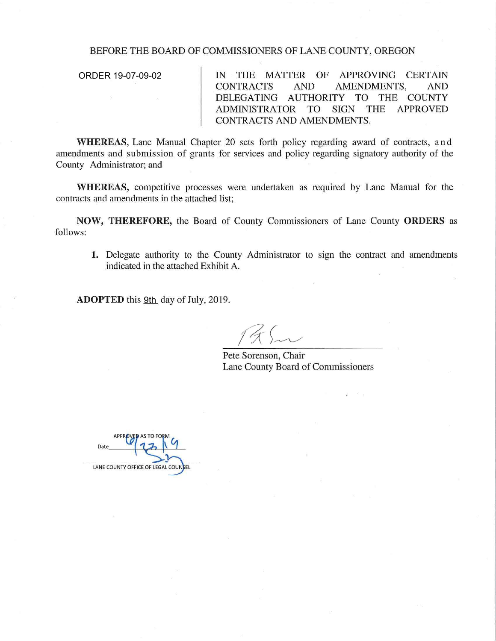## BEFORE THE BOARD OF COMMISSIONERS OF LANE COUNTY, OREGON

ORDER 19-07-09-02

IN THE MATTER OF APPROVING CERTAIN CONTRACTS AND AMENDMENTS, AND DELEGATING AUTHORITY TO THE COUNTY ADMINISTRATOR TO SIGN THE APPROVED CONTRACTS AND AMENDMENTS.

**WHEREAS,** Lane Manual Chapter 20 sets forth policy regarding award of contracts, and amendments and submission of grants for services and policy regarding signatory authority of the County Administrator; and

**WHEREAS,** competitive processes were undertaken as required by Lane Manual for the contracts and amendments in the attached list;

**NOW, THEREFORE,** the Board of County Commissioners of Lane County **ORDERS** as follows:

**1.** Delegate authority to the County Administrator to sign the contract and amendments indicated in the attached Exhibit A.

ADOPTED this 9th day of July, 2019.

Pete Sorenson, Chair Lane County Board of Commissioners

LANE COUNTY OFFICE OF LEGAL COUNSEL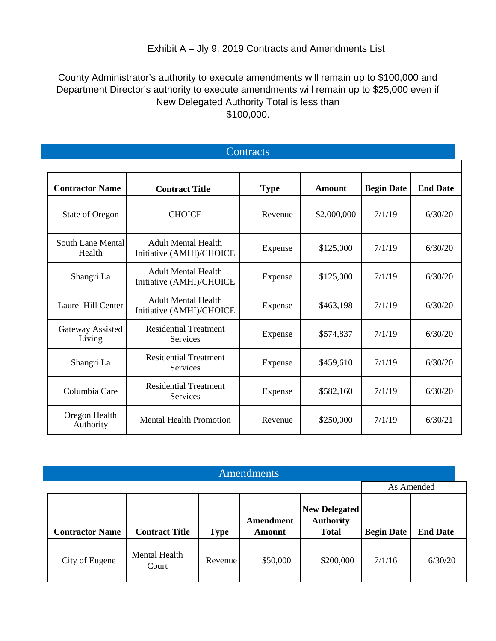## Exhibit A – Jly 9, 2019 Contracts and Amendments List

## County Administrator's authority to execute amendments will remain up to \$100,000 and Department Director's authority to execute amendments will remain up to \$25,000 even if New Delegated Authority Total is less than \$100,000.

**Contracts** 

| <b>Contractor Name</b>      | <b>Contract Title</b>                                             | <b>Type</b>          | Amount      | <b>Begin Date</b> | <b>End Date</b> |
|-----------------------------|-------------------------------------------------------------------|----------------------|-------------|-------------------|-----------------|
| <b>State of Oregon</b>      | <b>CHOICE</b>                                                     | Revenue              | \$2,000,000 | 7/1/19            | 6/30/20         |
| South Lane Mental<br>Health | <b>Adult Mental Health</b><br>Initiative (AMHI)/CHOICE            | \$125,000<br>Expense |             | 7/1/19            | 6/30/20         |
| Shangri La                  | <b>Adult Mental Health</b><br>Expense<br>Initiative (AMHI)/CHOICE |                      | \$125,000   | 7/1/19            | 6/30/20         |
| Laurel Hill Center          | <b>Adult Mental Health</b><br>Initiative (AMHI)/CHOICE            | Expense              | \$463,198   | 7/1/19            | 6/30/20         |
| Gateway Assisted<br>Living  | <b>Residential Treatment</b><br><b>Services</b>                   | Expense              | \$574,837   | 7/1/19            | 6/30/20         |
| Shangri La                  | <b>Residential Treatment</b><br><b>Services</b>                   | Expense              | \$459,610   | 7/1/19            | 6/30/20         |
| Columbia Care               | <b>Residential Treatment</b><br><b>Services</b>                   | Expense              | \$582,160   | 7/1/19            | 6/30/20         |
| Oregon Health<br>Authority  | <b>Mental Health Promotion</b>                                    | Revenue              | \$250,000   | 7/1/19            | 6/30/21         |

| Amendments             |                        |             |                                   |                                                          |                   |                 |  |  |
|------------------------|------------------------|-------------|-----------------------------------|----------------------------------------------------------|-------------------|-----------------|--|--|
|                        |                        |             |                                   |                                                          | As Amended        |                 |  |  |
| <b>Contractor Name</b> | <b>Contract Title</b>  | <b>Type</b> | <b>Amendment</b><br><b>Amount</b> | <b>New Delegated</b><br><b>Authority</b><br><b>Total</b> | <b>Begin Date</b> | <b>End Date</b> |  |  |
| City of Eugene         | Mental Health<br>Court | Revenue     | \$50,000                          | \$200,000                                                | 7/1/16            | 6/30/20         |  |  |